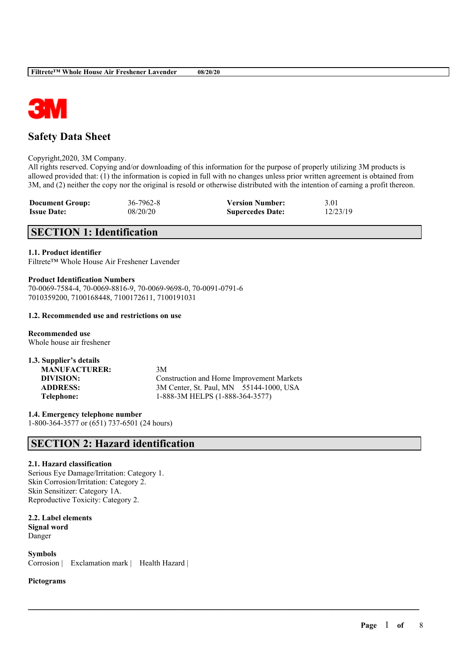

# **Safety Data Sheet**

#### Copyright,2020, 3M Company.

All rights reserved. Copying and/or downloading of this information for the purpose of properly utilizing 3M products is allowed provided that: (1) the information is copied in full with no changes unless prior written agreement is obtained from 3M, and (2) neither the copy nor the original is resold or otherwise distributed with the intention of earning a profit thereon.

| <b>Document Group:</b> | $36 - 7962 - 8$ | <b>Version Number:</b>  | 3.01     |
|------------------------|-----------------|-------------------------|----------|
| <b>Issue Date:</b>     | 08/20/20        | <b>Supercedes Date:</b> | 12/23/19 |

# **SECTION 1: Identification**

## **1.1. Product identifier**

Filtrete™ Whole House Air Freshener Lavender

## **Product Identification Numbers**

70-0069-7584-4, 70-0069-8816-9, 70-0069-9698-0, 70-0091-0791-6 7010359200, 7100168448, 7100172611, 7100191031

#### **1.2. Recommended use and restrictions on use**

**Recommended use** Whole house air freshener

| 1.3. Supplier's details |         |
|-------------------------|---------|
| <b>MANUFACTURER:</b>    | 3M      |
| DIVISION:               | Cot     |
| <b>ADDRESS:</b>         | 3M      |
| Telephone:              | $1 - 8$ |

Construction and Home Improvement Markets 3M Center, St. Paul, MN 55144-1000, USA **Telephone:** 1-888-3M HELPS (1-888-364-3577)

 $\mathcal{L}_\mathcal{L} = \mathcal{L}_\mathcal{L} = \mathcal{L}_\mathcal{L} = \mathcal{L}_\mathcal{L} = \mathcal{L}_\mathcal{L} = \mathcal{L}_\mathcal{L} = \mathcal{L}_\mathcal{L} = \mathcal{L}_\mathcal{L} = \mathcal{L}_\mathcal{L} = \mathcal{L}_\mathcal{L} = \mathcal{L}_\mathcal{L} = \mathcal{L}_\mathcal{L} = \mathcal{L}_\mathcal{L} = \mathcal{L}_\mathcal{L} = \mathcal{L}_\mathcal{L} = \mathcal{L}_\mathcal{L} = \mathcal{L}_\mathcal{L}$ 

**1.4. Emergency telephone number** 1-800-364-3577 or (651) 737-6501 (24 hours)

# **SECTION 2: Hazard identification**

#### **2.1. Hazard classification**

Serious Eye Damage/Irritation: Category 1. Skin Corrosion/Irritation: Category 2. Skin Sensitizer: Category 1A. Reproductive Toxicity: Category 2.

**2.2. Label elements Signal word** Danger

**Symbols** Corrosion | Exclamation mark | Health Hazard |

#### **Pictograms**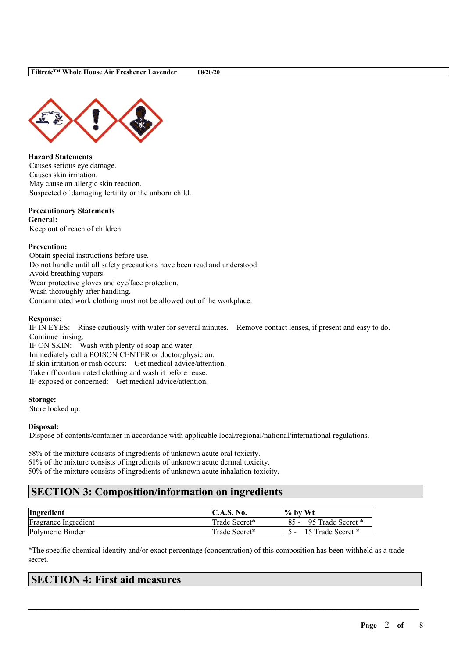

**Hazard Statements** Causes serious eye damage. Causes skin irritation. May cause an allergic skin reaction. Suspected of damaging fertility or the unborn child.

## **Precautionary Statements**

**General:** Keep out of reach of children.

## **Prevention:**

Obtain special instructions before use. Do not handle until all safety precautions have been read and understood. Avoid breathing vapors. Wear protective gloves and eye/face protection. Wash thoroughly after handling. Contaminated work clothing must not be allowed out of the workplace.

#### **Response:**

IF IN EYES: Rinse cautiously with water for several minutes. Remove contact lenses, if present and easy to do. Continue rinsing.

IF ON SKIN: Wash with plenty of soap and water. Immediately call a POISON CENTER or doctor/physician. If skin irritation or rash occurs: Get medical advice/attention. Take off contaminated clothing and wash it before reuse. IF exposed or concerned: Get medical advice/attention.

#### **Storage:**

Store locked up.

#### **Disposal:**

Dispose of contents/container in accordance with applicable local/regional/national/international regulations.

58% of the mixture consists of ingredients of unknown acute oral toxicity. 61% of the mixture consists of ingredients of unknown acute dermal toxicity. 50% of the mixture consists of ingredients of unknown acute inhalation toxicity.

# **SECTION 3: Composition/information on ingredients**

| Ingredient           | <b>IC.A.S. No.</b> | $\%$ by Wt             |
|----------------------|--------------------|------------------------|
| Fragrance Ingredient | Trade Secret*      | 85 - 95 Trade Secret * |
| Polymeric Binder     | Trade Secret*      | 15 Trade Secret *      |

\*The specific chemical identity and/or exact percentage (concentration) of this composition has been withheld as a trade secret.

 $\mathcal{L}_\mathcal{L} = \mathcal{L}_\mathcal{L} = \mathcal{L}_\mathcal{L} = \mathcal{L}_\mathcal{L} = \mathcal{L}_\mathcal{L} = \mathcal{L}_\mathcal{L} = \mathcal{L}_\mathcal{L} = \mathcal{L}_\mathcal{L} = \mathcal{L}_\mathcal{L} = \mathcal{L}_\mathcal{L} = \mathcal{L}_\mathcal{L} = \mathcal{L}_\mathcal{L} = \mathcal{L}_\mathcal{L} = \mathcal{L}_\mathcal{L} = \mathcal{L}_\mathcal{L} = \mathcal{L}_\mathcal{L} = \mathcal{L}_\mathcal{L}$ 

# **SECTION 4: First aid measures**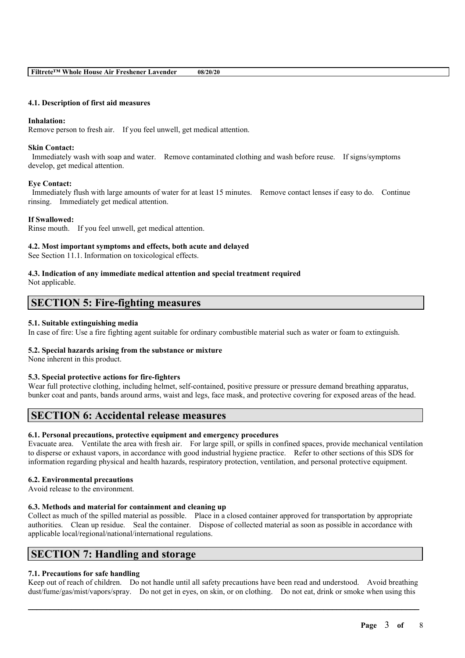## **4.1. Description of first aid measures**

#### **Inhalation:**

Remove person to fresh air. If you feel unwell, get medical attention.

#### **Skin Contact:**

Immediately wash with soap and water. Remove contaminated clothing and wash before reuse. If signs/symptoms develop, get medical attention.

## **Eye Contact:**

Immediately flush with large amounts of water for at least 15 minutes. Remove contact lenses if easy to do. Continue rinsing. Immediately get medical attention.

## **If Swallowed:**

Rinse mouth. If you feel unwell, get medical attention.

## **4.2. Most important symptoms and effects, both acute and delayed**

See Section 11.1. Information on toxicological effects.

## **4.3. Indication of any immediate medical attention and special treatment required**

Not applicable.

# **SECTION 5: Fire-fighting measures**

## **5.1. Suitable extinguishing media**

In case of fire: Use a fire fighting agent suitable for ordinary combustible material such as water or foam to extinguish.

#### **5.2. Special hazards arising from the substance or mixture**

None inherent in this product.

## **5.3. Special protective actions for fire-fighters**

Wear full protective clothing, including helmet, self-contained, positive pressure or pressure demand breathing apparatus, bunker coat and pants, bands around arms, waist and legs, face mask, and protective covering for exposed areas of the head.

## **SECTION 6: Accidental release measures**

## **6.1. Personal precautions, protective equipment and emergency procedures**

Evacuate area. Ventilate the area with fresh air. For large spill, or spills in confined spaces, provide mechanical ventilation to disperse or exhaust vapors, in accordance with good industrial hygiene practice. Refer to other sections of this SDS for information regarding physical and health hazards, respiratory protection, ventilation, and personal protective equipment.

## **6.2. Environmental precautions**

Avoid release to the environment.

## **6.3. Methods and material for containment and cleaning up**

Collect as much of the spilled material as possible. Place in a closed container approved for transportation by appropriate authorities. Clean up residue. Seal the container. Dispose of collected material as soon as possible in accordance with applicable local/regional/national/international regulations.

## **SECTION 7: Handling and storage**

## **7.1. Precautions for safe handling**

Keep out of reach of children. Do not handle until all safety precautions have been read and understood. Avoid breathing dust/fume/gas/mist/vapors/spray. Do not get in eyes, on skin, or on clothing. Do not eat, drink or smoke when using this

 $\mathcal{L}_\mathcal{L} = \mathcal{L}_\mathcal{L} = \mathcal{L}_\mathcal{L} = \mathcal{L}_\mathcal{L} = \mathcal{L}_\mathcal{L} = \mathcal{L}_\mathcal{L} = \mathcal{L}_\mathcal{L} = \mathcal{L}_\mathcal{L} = \mathcal{L}_\mathcal{L} = \mathcal{L}_\mathcal{L} = \mathcal{L}_\mathcal{L} = \mathcal{L}_\mathcal{L} = \mathcal{L}_\mathcal{L} = \mathcal{L}_\mathcal{L} = \mathcal{L}_\mathcal{L} = \mathcal{L}_\mathcal{L} = \mathcal{L}_\mathcal{L}$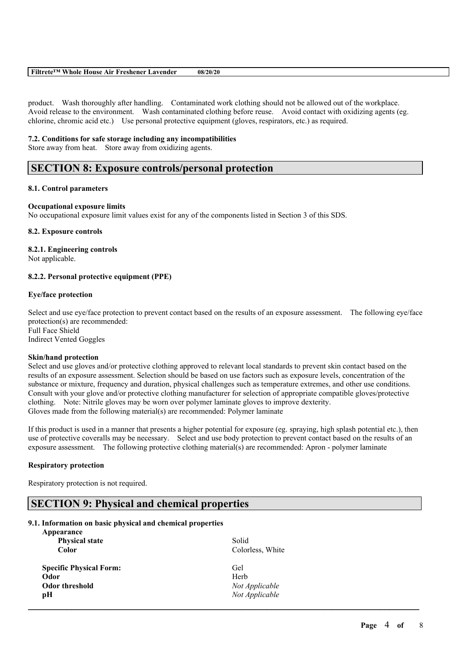## **Filtrete™ Whole House Air Freshener Lavender 08/20/20**

product. Wash thoroughly after handling. Contaminated work clothing should not be allowed out of the workplace. Avoid release to the environment. Wash contaminated clothing before reuse. Avoid contact with oxidizing agents (eg. chlorine, chromic acid etc.) Use personal protective equipment (gloves, respirators, etc.) as required.

#### **7.2. Conditions for safe storage including any incompatibilities**

Store away from heat. Store away from oxidizing agents.

# **SECTION 8: Exposure controls/personal protection**

#### **8.1. Control parameters**

#### **Occupational exposure limits**

No occupational exposure limit values exist for any of the components listed in Section 3 of this SDS.

#### **8.2. Exposure controls**

## **8.2.1. Engineering controls**

Not applicable.

## **8.2.2. Personal protective equipment (PPE)**

#### **Eye/face protection**

Select and use eye/face protection to prevent contact based on the results of an exposure assessment. The following eye/face protection(s) are recommended: Full Face Shield Indirect Vented Goggles

#### **Skin/hand protection**

Select and use gloves and/or protective clothing approved to relevant local standards to prevent skin contact based on the results of an exposure assessment. Selection should be based on use factors such as exposure levels, concentration of the substance or mixture, frequency and duration, physical challenges such as temperature extremes, and other use conditions. Consult with your glove and/or protective clothing manufacturer for selection of appropriate compatible gloves/protective clothing. Note: Nitrile gloves may be worn over polymer laminate gloves to improve dexterity. Gloves made from the following material(s) are recommended: Polymer laminate

If this product is used in a manner that presents a higher potential for exposure (eg. spraying, high splash potential etc.), then use of protective coveralls may be necessary. Select and use body protection to prevent contact based on the results of an exposure assessment. The following protective clothing material(s) are recommended: Apron - polymer laminate

## **Respiratory protection**

Respiratory protection is not required.

## **SECTION 9: Physical and chemical properties**

#### **9.1. Information on basic physical and chemical properties**

| Appearance<br><b>Physical state</b> | Solid            |  |
|-------------------------------------|------------------|--|
| <b>Color</b>                        | Colorless, White |  |
| <b>Specific Physical Form:</b>      | Gel              |  |
| Odor                                | Herb             |  |
| <b>Odor threshold</b>               | Not Applicable   |  |
| рH                                  | Not Applicable   |  |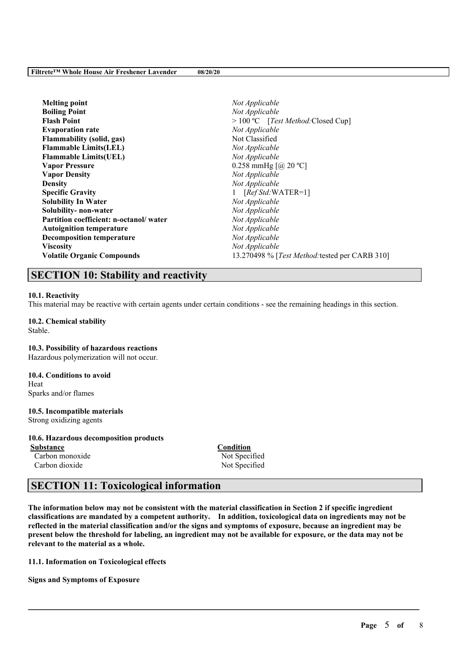| <b>Melting point</b>                   | Not Applicable                                 |
|----------------------------------------|------------------------------------------------|
| <b>Boiling Point</b>                   | Not Applicable                                 |
| <b>Flash Point</b>                     | > 100 °C [Test Method: Closed Cup]             |
| <b>Evaporation rate</b>                | Not Applicable                                 |
| <b>Flammability (solid, gas)</b>       | Not Classified                                 |
| <b>Flammable Limits(LEL)</b>           | Not Applicable                                 |
| <b>Flammable Limits(UEL)</b>           | Not Applicable                                 |
| <b>Vapor Pressure</b>                  | 0.258 mmHg $[@, 20 °C]$                        |
| <b>Vapor Density</b>                   | Not Applicable                                 |
| Density                                | Not Applicable                                 |
| <b>Specific Gravity</b>                | $[RefStd:WATER=1]$                             |
| <b>Solubility In Water</b>             | Not Applicable                                 |
| Solubility- non-water                  | Not Applicable                                 |
| Partition coefficient: n-octanol/water | Not Applicable                                 |
| <b>Autoignition temperature</b>        | Not Applicable                                 |
| <b>Decomposition temperature</b>       | Not Applicable                                 |
| Viscosity                              | Not Applicable                                 |
| <b>Volatile Organic Compounds</b>      | 13.270498 % [Test Method: tested per CARB 310] |

# **SECTION 10: Stability and reactivity**

## **10.1. Reactivity**

This material may be reactive with certain agents under certain conditions - see the remaining headings in this section.

#### **10.2. Chemical stability** Stable.

**10.3. Possibility of hazardous reactions**

Hazardous polymerization will not occur.

## **10.4. Conditions to avoid** Heat

Sparks and/or flames

# **10.5. Incompatible materials**

Strong oxidizing agents

## **10.6. Hazardous decomposition products**

**Substance Condition** Carbon monoxide Not Specified Carbon dioxide Not Specified

# **SECTION 11: Toxicological information**

The information below may not be consistent with the material classification in Section 2 if specific ingredient **classifications are mandated by a competent authority. In addition, toxicological data on ingredients may not be** reflected in the material classification and/or the signs and symptoms of exposure, because an ingredient may be present below the threshold for labeling, an ingredient may not be available for exposure, or the data may not be **relevant to the material as a whole.**

 $\mathcal{L}_\mathcal{L} = \mathcal{L}_\mathcal{L} = \mathcal{L}_\mathcal{L} = \mathcal{L}_\mathcal{L} = \mathcal{L}_\mathcal{L} = \mathcal{L}_\mathcal{L} = \mathcal{L}_\mathcal{L} = \mathcal{L}_\mathcal{L} = \mathcal{L}_\mathcal{L} = \mathcal{L}_\mathcal{L} = \mathcal{L}_\mathcal{L} = \mathcal{L}_\mathcal{L} = \mathcal{L}_\mathcal{L} = \mathcal{L}_\mathcal{L} = \mathcal{L}_\mathcal{L} = \mathcal{L}_\mathcal{L} = \mathcal{L}_\mathcal{L}$ 

**11.1. Information on Toxicological effects**

**Signs and Symptoms of Exposure**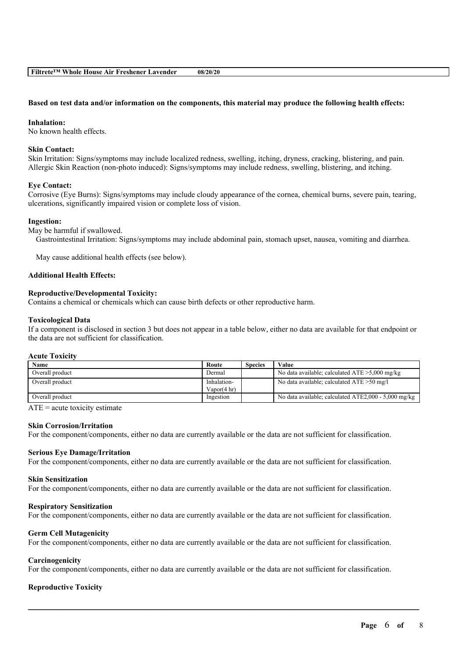#### Based on test data and/or information on the components, this material may produce the following health effects:

#### **Inhalation:**

No known health effects.

## **Skin Contact:**

Skin Irritation: Signs/symptoms may include localized redness, swelling, itching, dryness, cracking, blistering, and pain. Allergic Skin Reaction (non-photo induced): Signs/symptoms may include redness, swelling, blistering, and itching.

## **Eye Contact:**

Corrosive (Eye Burns): Signs/symptoms may include cloudy appearance of the cornea, chemical burns, severe pain, tearing, ulcerations, significantly impaired vision or complete loss of vision.

#### **Ingestion:**

May be harmful if swallowed.

Gastrointestinal Irritation: Signs/symptoms may include abdominal pain, stomach upset, nausea, vomiting and diarrhea.

May cause additional health effects (see below).

#### **Additional Health Effects:**

## **Reproductive/Developmental Toxicity:**

Contains a chemical or chemicals which can cause birth defects or other reproductive harm.

#### **Toxicological Data**

If a component is disclosed in section 3 but does not appear in a table below, either no data are available for that endpoint or the data are not sufficient for classification.

#### **Acute Toxicity**

| Name            | Route                  | <b>Species</b> | Value                                                |
|-----------------|------------------------|----------------|------------------------------------------------------|
| Overall product | Dermal                 |                | No data available; calculated $ATE > 5,000$ mg/kg    |
| Overall product | Inhalation-            |                | No data available; calculated $ATE > 50$ mg/l        |
|                 | Vapor $(4 \text{ hr})$ |                |                                                      |
| Overall product | Ingestion              |                | No data available; calculated ATE2,000 - 5,000 mg/kg |

 $ATE = acute$  toxicity estimate

#### **Skin Corrosion/Irritation**

For the component/components, either no data are currently available or the data are not sufficient for classification.

#### **Serious Eye Damage/Irritation**

For the component/components, either no data are currently available or the data are not sufficient for classification.

#### **Skin Sensitization**

For the component/components, either no data are currently available or the data are not sufficient for classification.

#### **Respiratory Sensitization**

For the component/components, either no data are currently available or the data are not sufficient for classification.

#### **Germ Cell Mutagenicity**

For the component/components, either no data are currently available or the data are not sufficient for classification.

#### **Carcinogenicity**

For the component/components, either no data are currently available or the data are not sufficient for classification.

 $\mathcal{L}_\mathcal{L} = \mathcal{L}_\mathcal{L} = \mathcal{L}_\mathcal{L} = \mathcal{L}_\mathcal{L} = \mathcal{L}_\mathcal{L} = \mathcal{L}_\mathcal{L} = \mathcal{L}_\mathcal{L} = \mathcal{L}_\mathcal{L} = \mathcal{L}_\mathcal{L} = \mathcal{L}_\mathcal{L} = \mathcal{L}_\mathcal{L} = \mathcal{L}_\mathcal{L} = \mathcal{L}_\mathcal{L} = \mathcal{L}_\mathcal{L} = \mathcal{L}_\mathcal{L} = \mathcal{L}_\mathcal{L} = \mathcal{L}_\mathcal{L}$ 

## **Reproductive Toxicity**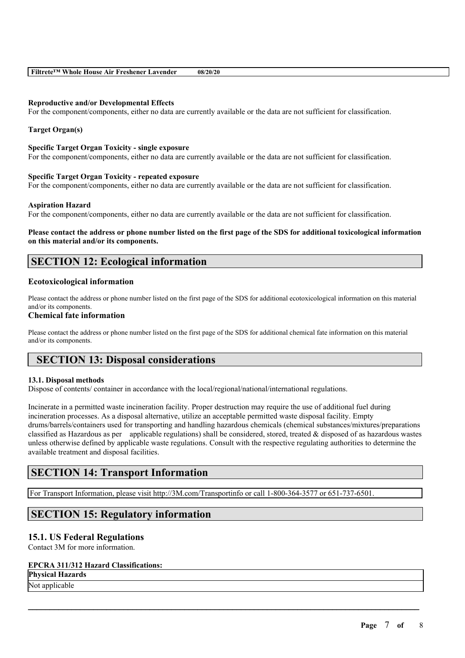| Filtrete™ Whole House Air Freshener Lavender | 08/20/20 |
|----------------------------------------------|----------|
|----------------------------------------------|----------|

## **Reproductive and/or Developmental Effects**

For the component/components, either no data are currently available or the data are not sufficient for classification.

## **Target Organ(s)**

#### **Specific Target Organ Toxicity - single exposure**

For the component/components, either no data are currently available or the data are not sufficient for classification.

#### **Specific Target Organ Toxicity - repeated exposure**

For the component/components, either no data are currently available or the data are not sufficient for classification.

#### **Aspiration Hazard**

For the component/components, either no data are currently available or the data are not sufficient for classification.

Please contact the address or phone number listed on the first page of the SDS for additional toxicological information **on this material and/or its components.**

# **SECTION 12: Ecological information**

## **Ecotoxicological information**

Please contact the address or phone number listed on the first page of the SDS for additional ecotoxicological information on this material and/or its components.

#### **Chemical fate information**

Please contact the address or phone number listed on the first page of the SDS for additional chemical fate information on this material and/or its components.

## **SECTION 13: Disposal considerations**

## **13.1. Disposal methods**

Dispose of contents/ container in accordance with the local/regional/national/international regulations.

Incinerate in a permitted waste incineration facility. Proper destruction may require the use of additional fuel during incineration processes. As a disposal alternative, utilize an acceptable permitted waste disposal facility. Empty drums/barrels/containers used for transporting and handling hazardous chemicals (chemical substances/mixtures/preparations classified as Hazardous as per applicable regulations) shall be considered, stored, treated  $\&$  disposed of as hazardous wastes unless otherwise defined by applicable waste regulations. Consult with the respective regulating authorities to determine the available treatment and disposal facilities.

 $\mathcal{L}_\mathcal{L} = \mathcal{L}_\mathcal{L} = \mathcal{L}_\mathcal{L} = \mathcal{L}_\mathcal{L} = \mathcal{L}_\mathcal{L} = \mathcal{L}_\mathcal{L} = \mathcal{L}_\mathcal{L} = \mathcal{L}_\mathcal{L} = \mathcal{L}_\mathcal{L} = \mathcal{L}_\mathcal{L} = \mathcal{L}_\mathcal{L} = \mathcal{L}_\mathcal{L} = \mathcal{L}_\mathcal{L} = \mathcal{L}_\mathcal{L} = \mathcal{L}_\mathcal{L} = \mathcal{L}_\mathcal{L} = \mathcal{L}_\mathcal{L}$ 

## **SECTION 14: Transport Information**

For Transport Information, please visit http://3M.com/Transportinfo or call 1-800-364-3577 or 651-737-6501.

## **SECTION 15: Regulatory information**

## **15.1. US Federal Regulations**

Contact 3M for more information.

## **EPCRA 311/312 Hazard Classifications:**

**Physical Hazards**

Not applicable